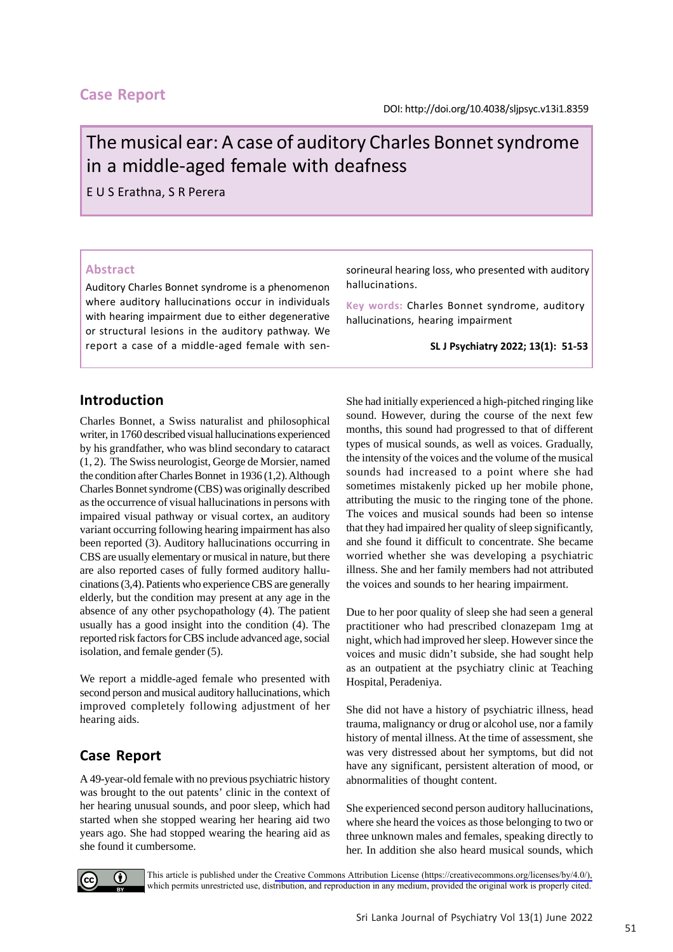## **Case Report**

# The musical ear: A case of auditory Charles Bonnet syndrome in a middle-aged female with deafness

E U S Erathna, S R Perera

#### **Abstract**

Auditory Charles Bonnet syndrome is a phenomenon where auditory hallucinations occur in individuals with hearing impairment due to either degenerative or structural lesions in the auditory pathway. We report a case of a middle-aged female with sensorineural hearing loss, who presented with auditory hallucinations.

**Key words:** Charles Bonnet syndrome, auditory hallucinations, hearing impairment

#### **SL J Psychiatry 2022; 13(1): 51-53**

## **Introduction**

Charles Bonnet, a Swiss naturalist and philosophical writer, in 1760 described visual hallucinations experienced by his grandfather, who was blind secondary to cataract (1, 2). The Swiss neurologist, George de Morsier, named the condition after Charles Bonnet in 1936 (1,2). Although Charles Bonnet syndrome (CBS) was originally described as the occurrence of visual hallucinations in persons with impaired visual pathway or visual cortex, an auditory variant occurring following hearing impairment has also been reported (3). Auditory hallucinations occurring in CBS are usually elementary or musical in nature, but there are also reported cases of fully formed auditory hallucinations (3,4). Patients who experience CBS are generally elderly, but the condition may present at any age in the absence of any other psychopathology (4). The patient usually has a good insight into the condition (4). The reported risk factors for CBS include advanced age, social isolation, and female gender (5).

We report a middle-aged female who presented with second person and musical auditory hallucinations, which improved completely following adjustment of her hearing aids.

# **Case Report**

A 49-year-old female with no previous psychiatric history was brought to the out patents' clinic in the context of her hearing unusual sounds, and poor sleep, which had started when she stopped wearing her hearing aid two years ago. She had stopped wearing the hearing aid as she found it cumbersome.

She had initially experienced a high-pitched ringing like sound. However, during the course of the next few months, this sound had progressed to that of different types of musical sounds, as well as voices. Gradually, the intensity of the voices and the volume of the musical sounds had increased to a point where she had sometimes mistakenly picked up her mobile phone, attributing the music to the ringing tone of the phone. The voices and musical sounds had been so intense that they had impaired her quality of sleep significantly, and she found it difficult to concentrate. She became worried whether she was developing a psychiatric illness. She and her family members had not attributed the voices and sounds to her hearing impairment.

Due to her poor quality of sleep she had seen a general practitioner who had prescribed clonazepam 1mg at night, which had improved her sleep. However since the voices and music didn't subside, she had sought help as an outpatient at the psychiatry clinic at Teaching Hospital, Peradeniya.

She did not have a history of psychiatric illness, head trauma, malignancy or drug or alcohol use, nor a family history of mental illness. At the time of assessment, she was very distressed about her symptoms, but did not have any significant, persistent alteration of mood, or abnormalities of thought content.

She experienced second person auditory hallucinations, where she heard the voices as those belonging to two or three unknown males and females, speaking directly to her. In addition she also heard musical sounds, which



This article is published under the [Creative Commons Attribution License \(https://creativecommons.org/licenses/by/4.0/\),](https://creativecommons.org/licenses/by/4.0/)  which permits unrestricted use, distribution, and reproduction in any medium, provided the original work is properly cited.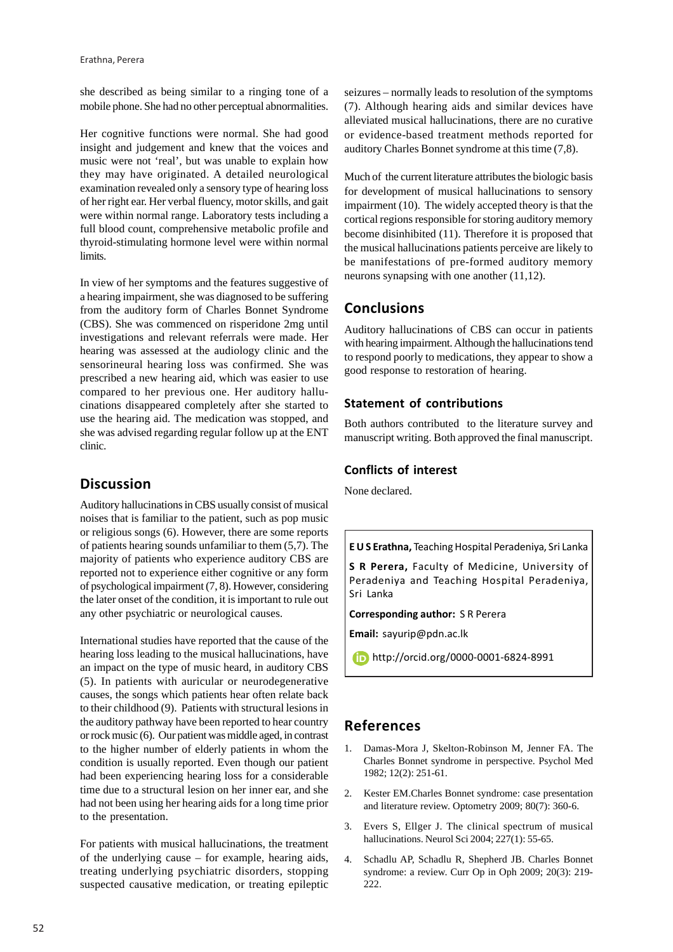she described as being similar to a ringing tone of a mobile phone. She had no other perceptual abnormalities.

Her cognitive functions were normal. She had good insight and judgement and knew that the voices and music were not 'real', but was unable to explain how they may have originated. A detailed neurological examination revealed only a sensory type of hearing loss of her right ear. Her verbal fluency, motor skills, and gait were within normal range. Laboratory tests including a full blood count, comprehensive metabolic profile and thyroid-stimulating hormone level were within normal limits.

In view of her symptoms and the features suggestive of a hearing impairment, she was diagnosed to be suffering from the auditory form of Charles Bonnet Syndrome (CBS). She was commenced on risperidone 2mg until investigations and relevant referrals were made. Her hearing was assessed at the audiology clinic and the sensorineural hearing loss was confirmed. She was prescribed a new hearing aid, which was easier to use compared to her previous one. Her auditory hallucinations disappeared completely after she started to use the hearing aid. The medication was stopped, and she was advised regarding regular follow up at the ENT clinic.

## **Discussion**

Auditory hallucinations in CBS usually consist of musical noises that is familiar to the patient, such as pop music or religious songs (6). However, there are some reports of patients hearing sounds unfamiliar to them (5,7). The majority of patients who experience auditory CBS are reported not to experience either cognitive or any form of psychological impairment (7, 8). However, considering the later onset of the condition, it is important to rule out any other psychiatric or neurological causes.

International studies have reported that the cause of the hearing loss leading to the musical hallucinations, have an impact on the type of music heard, in auditory CBS (5). In patients with auricular or neurodegenerative causes, the songs which patients hear often relate back to their childhood (9). Patients with structural lesions in the auditory pathway have been reported to hear country or rock music (6). Our patient was middle aged, in contrast to the higher number of elderly patients in whom the condition is usually reported. Even though our patient had been experiencing hearing loss for a considerable time due to a structural lesion on her inner ear, and she had not been using her hearing aids for a long time prior to the presentation.

For patients with musical hallucinations, the treatment of the underlying cause – for example, hearing aids, treating underlying psychiatric disorders, stopping suspected causative medication, or treating epileptic seizures – normally leads to resolution of the symptoms (7). Although hearing aids and similar devices have alleviated musical hallucinations, there are no curative or evidence-based treatment methods reported for auditory Charles Bonnet syndrome at this time (7,8).

Much of the current literature attributes the biologic basis for development of musical hallucinations to sensory impairment (10). The widely accepted theory is that the cortical regions responsible for storing auditory memory become disinhibited (11). Therefore it is proposed that the musical hallucinations patients perceive are likely to be manifestations of pre-formed auditory memory neurons synapsing with one another (11,12).

# **Conclusions**

Auditory hallucinations of CBS can occur in patients with hearing impairment. Although the hallucinations tend to respond poorly to medications, they appear to show a good response to restoration of hearing.

#### **Statement of contributions**

Both authors contributed to the literature survey and manuscript writing. Both approved the final manuscript.

#### **Conflicts of interest**

None declared.

**E U S Erathna,** Teaching Hospital Peradeniya, Sri Lanka

**S R Perera,** Faculty of Medicine, University of Peradeniya and Teaching Hospital Peradeniya, Sri Lanka

**Corresponding author:** S R Perera

**Email:** sayurip@pdn.ac.lk

http://orcid.org/0000-0001-6824-8991

# **References**

- 1. Damas-Mora J, Skelton-Robinson M, Jenner FA. The Charles Bonnet syndrome in perspective. Psychol Med 1982; 12(2): 251-61.
- 2. Kester EM.Charles Bonnet syndrome: case presentation and literature review. Optometry 2009; 80(7): 360-6.
- 3. Evers S, Ellger J. The clinical spectrum of musical hallucinations. Neurol Sci 2004; 227(1): 55-65.
- 4. Schadlu AP, Schadlu R, Shepherd JB. Charles Bonnet syndrome: a review. Curr Op in Oph 2009; 20(3): 219- 222.